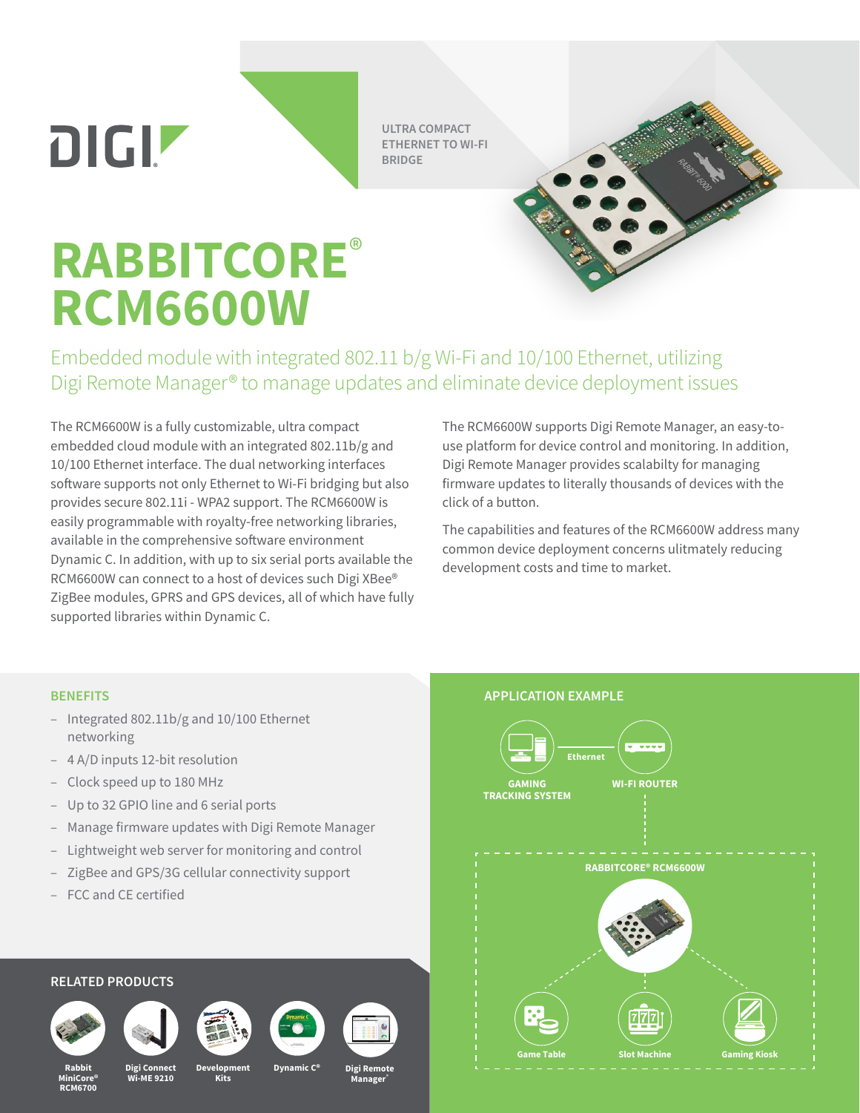DIGIZ

**ULTRA COMPACT ETHERNET TO WI-FI BRIDGE**

## **RABBITCORE**® **RCM6600W**

Embedded module with integrated 802.11 b/g Wi-Fi and 10/100 Ethernet, utilizing Digi Remote Manager® to manage updates and eliminate device deployment issues

The RCM6600W is a fully customizable, ultra compact embedded cloud module with an integrated 802.11b/g and 10/100 Ethernet interface. The dual networking interfaces software supports not only Ethernet to Wi-Fi bridging but also provides secure 802.11i - WPA2 support. The RCM6600W is easily programmable with royalty-free networking libraries, available in the comprehensive software environment Dynamic C. In addition, with up to six serial ports available the RCM6600W can connect to a host of devices such Digi XBee® ZigBee modules, GPRS and GPS devices, all of which have fully supported libraries within Dynamic C.

The RCM6600W supports Digi Remote Manager, an easy-touse platform for device control and monitoring. In addition, Digi Remote Manager provides scalabilty for managing firmware updates to literally thousands of devices with the click of a button.

The capabilities and features of the RCM6600W address many common device deployment concerns ulitmately reducing development costs and time to market.

## **BENEFITS**

- Integrated 802.11b/g and 10/100 Ethernet networking
- 4 A/D inputs 12-bit resolution
- Clock speed up to 180 MHz
- Up to 32 GPIO line and 6 serial ports
- Manage firmware updates with Digi Remote Manager
- Lightweight web server for monitoring and control
- ZigBee and GPS/3G cellular connectivity support
- FCC and CE certified

## **RELATED PRODUCTS**









**Kits**





**Rabbit MiniCore® RCM6700**

**Digi Connect Wi-ME 9210**

**Development**

**Dynamic C®**

**Manager®**

**Digi Remote**